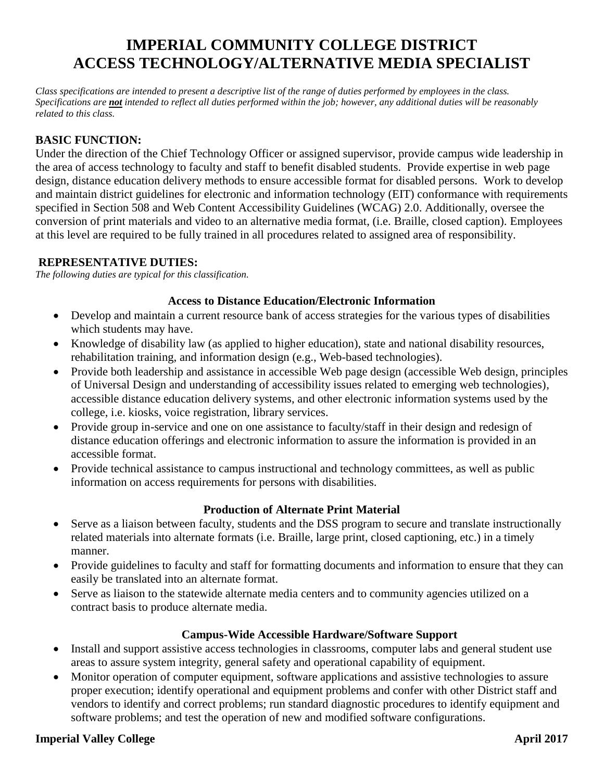# **IMPERIAL COMMUNITY COLLEGE DISTRICT ACCESS TECHNOLOGY/ALTERNATIVE MEDIA SPECIALIST**

*Class specifications are intended to present a descriptive list of the range of duties performed by employees in the class. Specifications are not intended to reflect all duties performed within the job; however, any additional duties will be reasonably related to this class.*

## **BASIC FUNCTION:**

Under the direction of the Chief Technology Officer or assigned supervisor, provide campus wide leadership in the area of access technology to faculty and staff to benefit disabled students. Provide expertise in web page design, distance education delivery methods to ensure accessible format for disabled persons. Work to develop and maintain district guidelines for electronic and information technology (EIT) conformance with requirements specified in Section 508 and Web Content Accessibility Guidelines (WCAG) 2.0. Additionally, oversee the conversion of print materials and video to an alternative media format, (i.e. Braille, closed caption). Employees at this level are required to be fully trained in all procedures related to assigned area of responsibility.

#### **REPRESENTATIVE DUTIES:**

*The following duties are typical for this classification.*

#### **Access to Distance Education/Electronic Information**

- Develop and maintain a current resource bank of access strategies for the various types of disabilities which students may have.
- Knowledge of disability law (as applied to higher education), state and national disability resources, rehabilitation training, and information design (e.g., Web-based technologies).
- Provide both leadership and assistance in accessible Web page design (accessible Web design, principles of Universal Design and understanding of accessibility issues related to emerging web technologies), accessible distance education delivery systems, and other electronic information systems used by the college, i.e. kiosks, voice registration, library services.
- Provide group in-service and one on one assistance to faculty/staff in their design and redesign of distance education offerings and electronic information to assure the information is provided in an accessible format.
- Provide technical assistance to campus instructional and technology committees, as well as public information on access requirements for persons with disabilities.

#### **Production of Alternate Print Material**

- Serve as a liaison between faculty, students and the DSS program to secure and translate instructionally related materials into alternate formats (i.e. Braille, large print, closed captioning, etc.) in a timely manner.
- Provide guidelines to faculty and staff for formatting documents and information to ensure that they can easily be translated into an alternate format.
- Serve as liaison to the statewide alternate media centers and to community agencies utilized on a contract basis to produce alternate media.

#### **Campus-Wide Accessible Hardware/Software Support**

- Install and support assistive access technologies in classrooms, computer labs and general student use areas to assure system integrity, general safety and operational capability of equipment.
- Monitor operation of computer equipment, software applications and assistive technologies to assure proper execution; identify operational and equipment problems and confer with other District staff and vendors to identify and correct problems; run standard diagnostic procedures to identify equipment and software problems; and test the operation of new and modified software configurations.

#### **Imperial Valley College April 2017**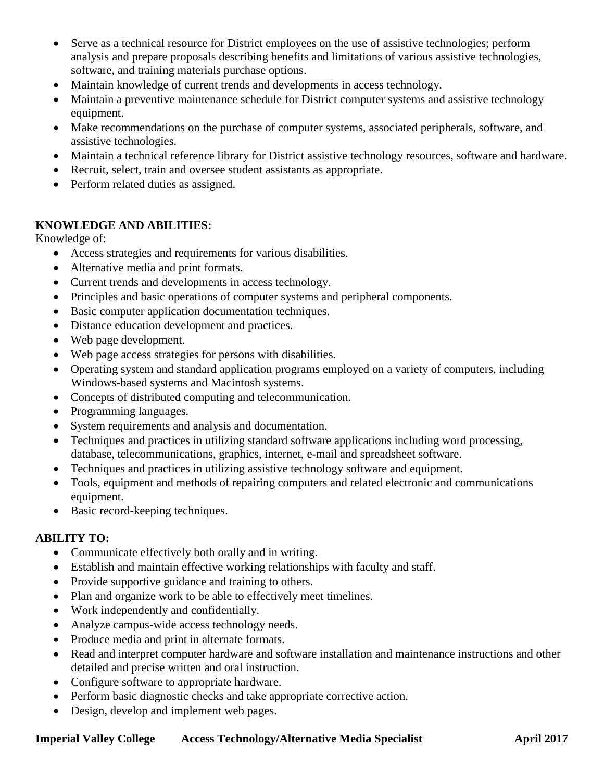- Serve as a technical resource for District employees on the use of assistive technologies; perform analysis and prepare proposals describing benefits and limitations of various assistive technologies, software, and training materials purchase options.
- Maintain knowledge of current trends and developments in access technology.
- Maintain a preventive maintenance schedule for District computer systems and assistive technology equipment.
- Make recommendations on the purchase of computer systems, associated peripherals, software, and assistive technologies.
- Maintain a technical reference library for District assistive technology resources, software and hardware.
- Recruit, select, train and oversee student assistants as appropriate.
- Perform related duties as assigned.

## **KNOWLEDGE AND ABILITIES:**

Knowledge of:

- Access strategies and requirements for various disabilities.
- Alternative media and print formats.
- Current trends and developments in access technology.
- Principles and basic operations of computer systems and peripheral components.
- Basic computer application documentation techniques.
- Distance education development and practices.
- Web page development.
- Web page access strategies for persons with disabilities.
- Operating system and standard application programs employed on a variety of computers, including Windows-based systems and Macintosh systems.
- Concepts of distributed computing and telecommunication.
- Programming languages.
- System requirements and analysis and documentation.
- Techniques and practices in utilizing standard software applications including word processing, database, telecommunications, graphics, internet, e-mail and spreadsheet software.
- Techniques and practices in utilizing assistive technology software and equipment.
- Tools, equipment and methods of repairing computers and related electronic and communications equipment.
- Basic record-keeping techniques.

## **ABILITY TO:**

- Communicate effectively both orally and in writing.
- Establish and maintain effective working relationships with faculty and staff.
- Provide supportive guidance and training to others.
- Plan and organize work to be able to effectively meet timelines.
- Work independently and confidentially.
- Analyze campus-wide access technology needs.
- Produce media and print in alternate formats.
- Read and interpret computer hardware and software installation and maintenance instructions and other detailed and precise written and oral instruction.
- Configure software to appropriate hardware.
- Perform basic diagnostic checks and take appropriate corrective action.
- Design, develop and implement web pages.